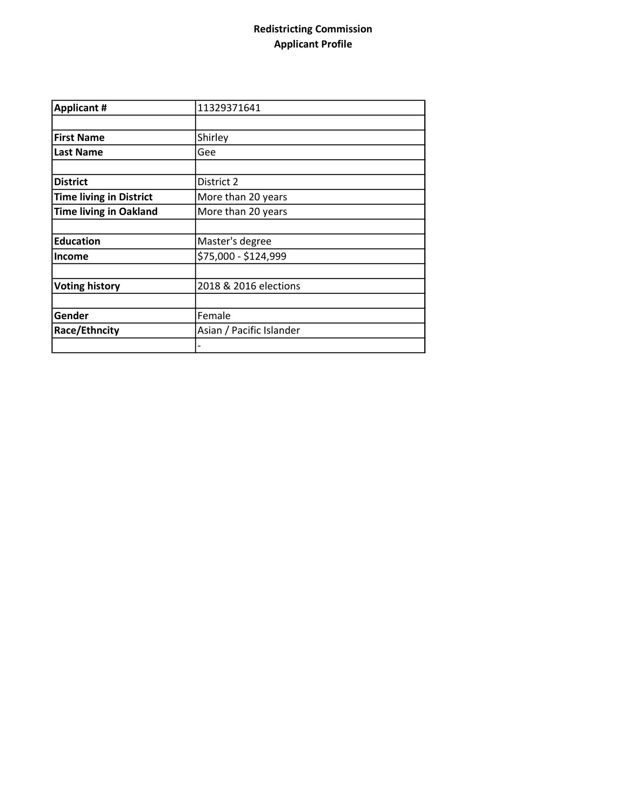## Redistricting Commission Applicant Profile

| <b>Applicant #</b>             | 11329371641              |
|--------------------------------|--------------------------|
|                                |                          |
| <b>First Name</b>              | Shirley                  |
| <b>Last Name</b>               | Gee                      |
|                                |                          |
| <b>District</b>                | District 2               |
| <b>Time living in District</b> | More than 20 years       |
| <b>Time living in Oakland</b>  | More than 20 years       |
|                                |                          |
| <b>Education</b>               | Master's degree          |
| <b>Income</b>                  | \$75,000 - \$124,999     |
|                                |                          |
| <b>Voting history</b>          | 2018 & 2016 elections    |
|                                |                          |
| Gender                         | Female                   |
| Race/Ethncity                  | Asian / Pacific Islander |
|                                |                          |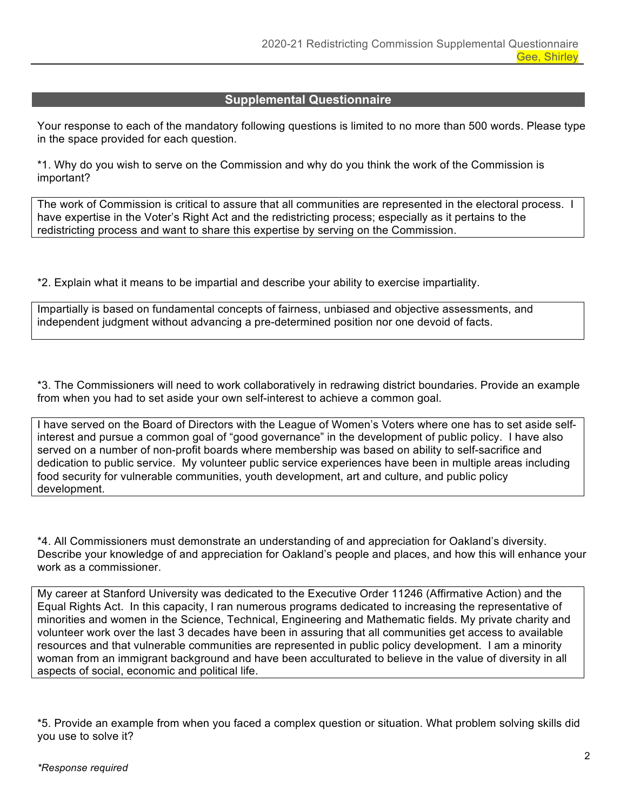## **Supplemental Questionnaire**

Your response to each of the mandatory following questions is limited to no more than 500 words. Please type in the space provided for each question.

\*1. Why do you wish to serve on the Commission and why do you think the work of the Commission is important?

The work of Commission is critical to assure that all communities are represented in the electoral process. I have expertise in the Voter's Right Act and the redistricting process; especially as it pertains to the redistricting process and want to share this expertise by serving on the Commission.

\*2. Explain what it means to be impartial and describe your ability to exercise impartiality.

Impartially is based on fundamental concepts of fairness, unbiased and objective assessments, and independent judgment without advancing a pre-determined position nor one devoid of facts.

\*3. The Commissioners will need to work collaboratively in redrawing district boundaries. Provide an example from when you had to set aside your own self-interest to achieve a common goal.

I have served on the Board of Directors with the League of Women's Voters where one has to set aside selfinterest and pursue a common goal of "good governance" in the development of public policy. I have also served on a number of non-profit boards where membership was based on ability to self-sacrifice and dedication to public service. My volunteer public service experiences have been in multiple areas including food security for vulnerable communities, youth development, art and culture, and public policy development.

\*4. All Commissioners must demonstrate an understanding of and appreciation for Oakland's diversity. Describe your knowledge of and appreciation for Oakland's people and places, and how this will enhance your work as a commissioner.

My career at Stanford University was dedicated to the Executive Order 11246 (Affirmative Action) and the Equal Rights Act. In this capacity, I ran numerous programs dedicated to increasing the representative of minorities and women in the Science, Technical, Engineering and Mathematic fields. My private charity and volunteer work over the last 3 decades have been in assuring that all communities get access to available resources and that vulnerable communities are represented in public policy development. I am a minority woman from an immigrant background and have been acculturated to believe in the value of diversity in all aspects of social, economic and political life.

\*5. Provide an example from when you faced a complex question or situation. What problem solving skills did you use to solve it?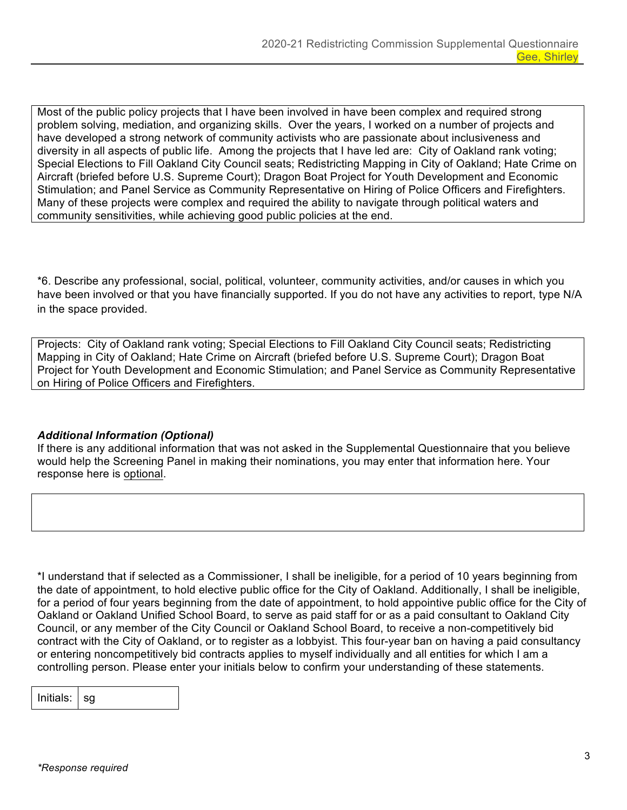Most of the public policy projects that I have been involved in have been complex and required strong problem solving, mediation, and organizing skills. Over the years, I worked on a number of projects and have developed a strong network of community activists who are passionate about inclusiveness and diversity in all aspects of public life. Among the projects that I have led are: City of Oakland rank voting; Special Elections to Fill Oakland City Council seats; Redistricting Mapping in City of Oakland; Hate Crime on Aircraft (briefed before U.S. Supreme Court); Dragon Boat Project for Youth Development and Economic Stimulation; and Panel Service as Community Representative on Hiring of Police Officers and Firefighters. Many of these projects were complex and required the ability to navigate through political waters and community sensitivities, while achieving good public policies at the end.

\*6. Describe any professional, social, political, volunteer, community activities, and/or causes in which you have been involved or that you have financially supported. If you do not have any activities to report, type N/A in the space provided.

Projects: City of Oakland rank voting; Special Elections to Fill Oakland City Council seats; Redistricting Mapping in City of Oakland; Hate Crime on Aircraft (briefed before U.S. Supreme Court); Dragon Boat Project for Youth Development and Economic Stimulation; and Panel Service as Community Representative on Hiring of Police Officers and Firefighters.

## *Additional Information (Optional)*

If there is any additional information that was not asked in the Supplemental Questionnaire that you believe would help the Screening Panel in making their nominations, you may enter that information here. Your response here is optional.

\*I understand that if selected as a Commissioner, I shall be ineligible, for a period of 10 years beginning from the date of appointment, to hold elective public office for the City of Oakland. Additionally, I shall be ineligible, for a period of four years beginning from the date of appointment, to hold appointive public office for the City of Oakland or Oakland Unified School Board, to serve as paid staff for or as a paid consultant to Oakland City Council, or any member of the City Council or Oakland School Board, to receive a non-competitively bid contract with the City of Oakland, or to register as a lobbyist. This four-year ban on having a paid consultancy or entering noncompetitively bid contracts applies to myself individually and all entities for which I am a controlling person. Please enter your initials below to confirm your understanding of these statements.

Initials:  $\vert$  sg